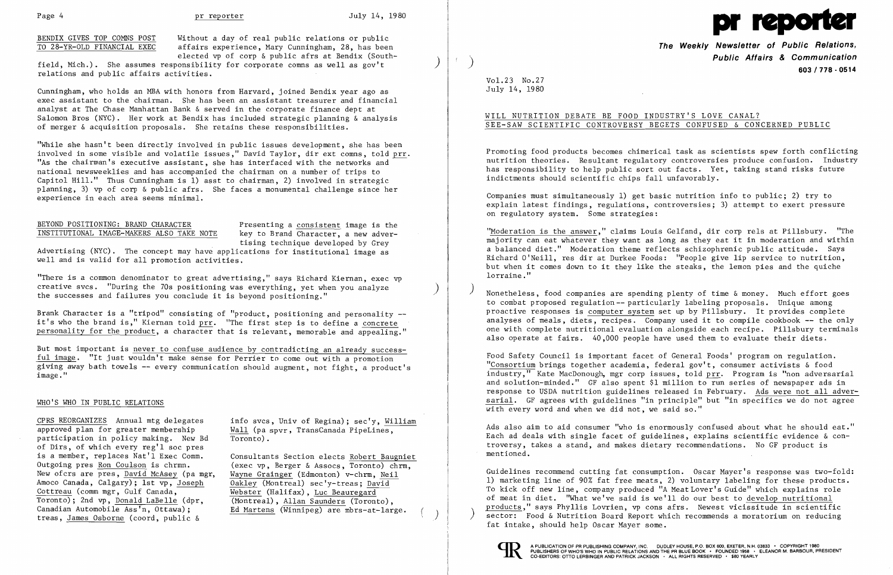BENDIX GIVES TOP COMNS POST Without a day of real public relations or public<br>TO 28-YR-OLD FINANCIAL EXEC affairs experience, Mary Cunningham, 28, has been affairs experience, Mary Cunningham, 28, has been elected vp of corp & public afrs at Bendix (South-

field, Mich.). She assumes responsibility for corporate comns as well as gov't ) relations and public affairs activities.

Cunningham, who holds an MBA with honors from Harvard, joined Bendix year ago as exec assistant to the chairman. She has been an assistant treasurer and financial analyst at The Chase Manhattan Bank & served in the corporate finance dept at Salomon Bros (NYC). Her work at Bendix has included strategic planning & analysis of merger & acquisition proposals. She retains these responsibilities.

BEYOND POSITIONING: BRAND CHARACTER<br>INSTITUTIONAL IMAGE-MAKERS ALSO TAKE NOTE bey to Brand Character, a new advertising technique developed by Grey

"While she hasn't been directly involved in public issues development, she has been involved in some visible and volatile issues," David Taylor, dir ext comns, told prr. "As the chairman's executive assistant, she has interfaced with the networks and national newsweeklies and has accompanied the chairman on a number of trips to Capitol Hill." Thus Cunningham is 1) asst to chairman, 2) involved in strategic planning, 3) vp of corp & public afrs. She faces a monumental challenge since her experience in each area seems minimal.

## INSTITUTIONAL IMAGE-MAKERS ALSO TAKE NOTE

Advertising (NYC). The concept may have applications for institutional image as well and is valid for all promotion activities.

"There is a common denominator to great advertising," says Richard Kiernan, exec vp creative svcs. "During the 70s positioning was everything, yet when you analyze the successes and failures you conclude it is beyond positioning."

Brank Character is a "tripod" consisting of "product, positioning and personality it's who the brand is," Kiernan told prr. "The first step is to define a concrete personality for the product, a character that is relevant, memorable and appealing."

But most important is never to confuse audience by contradicting an already success ful image. "It just wouldn't make sense for Perrier to come out with a promotion giving away bath towels -- every connnunication should augment, not fight, a product's image."

### WHO'S WHO IN PUBLIC RELATIONS

participation in policy making. New Bd of Dirs, of which every reg'l soc pres is a member, replaces Nat'l Exec Comm. Consultants Section elects Robert Baugniet<br>Outgoing pres Ron Coulson is chrmn. (exec vp. Berger & Assocs, Toronto) chrm. Amoco Canada, Calgary); 1st vp, Joseph Cottreau (comm mgr, Gulf Canada, Toronto); 2nd vp, Donald LaBelle (dpr, (Montreal), Allan Saunders (Toronto), Canadian Automobile Ass'n, Ottawa); Ed Martens (Winnipeg) are mbrs-at-large treas, James Osborne (coord, public &

CPRS REORGANIZES Annual mtg delegates info svcs, Univ of Regina); sec'y, William<br>approved plan for greater membership Wall (pa spyr. TransCanada PipeLines.  $\frac{\text{Wall}}{\text{ Toronto}}$  (pa spvr, TransCanada PipeLines,

Outgoing pres  $\underline{\text{Ron Coulson}}$  is chrmn. (exec vp, Berger & Assocs, Toronto) chrm,<br>New ofcrs are pres, David McAsey (pa mer, Wayne Grainger (Edmonton) v-chrm. Neil Wayne Grainger (Edmonton) v-chrm, Neil<br>Oakley (Montreal) sec'y-treas; David  $\overline{\text{Webster}}$  (Halifax), Luc Beauregard Ed Martens  $(\overline{\text{Winnipeg}})$  are mbrs-at-large.

Food Safety Council is important facet of General Foods' program on regulation. "Consortium brings together academia, federal gov't, consumer activists & food industry," Kate MacDonough, mgr corp issues, told prr. Program is "non adversarial and solution-minded." GF also spent \$1 million to run series of newspaper ads in response to USDA nutrition guidelines released in February. Ads were not all adversarial. GF agrees with guidelines "in principle" but "in specifics we do not agree with every word and when we did not, we said so."



**The Weekly Newsletter of Public Relations, Public Affairs & Communication** ) **603/778 - <sup>0514</sup>**

Vo1.23 No.27 July 14, 1980

### WILL NUTRITION DEBATE BE FOOD INDUSTRY'S LOVE CANAL? SEE-SAW SCIENTIFIC CONTROVERSY BEGETS CONFUSED & CONCERNED PUBLIC

Promoting food products becomes chimerical task as scientists spew forth conflicting nutrition theories. Resultant regulatory controversies produce confusion. Industry has responsibility to help public sort out facts. Yet, taking stand risks future indictments should scientific chips fall unfavorably.

Companies must simultaneously 1) get basic nutrition info to public; 2) try to explain latest findings, regulations, controversies; 3) attempt to exert pressure on regulatory system. Some strategies:

"Moderation is the answer," claims Louis Gelfand, dir corp rels at Pillsbury. "The majority can eat whatever they want as long as they eat it in moderation and within a balanced diet." Moderation theme reflects schizophrenic public attitude. Says Richard O'Neill, res dir at Durkee Foods: "People give lip service to nutrition, but when it comes down to it they like the steaks, the lemon pies and the quiche lorraine."

) Nonetheless, food companies are spending plenty of time & money. Much effort goes to combat proposed regulation-- particularly labeling proposals. Unique among proactive responses is computer system set up by Pillsbury. It provides complete analyses of meals, diets, recipes. Company used it to compile cookbook -- the only one with complete nutritional evaluation alongside each recipe. Pillsbury terminals also operate at fairs. 40,000 people have used them to evaluate their diets.

Ads also aim to aid consumer "who is enormously confused about what he should eat." Each ad deals with single facet of guidelines, explains scientific evidence & controversy, takes a stand, and makes dietary reconnnendations. No GF product is mentioned.

Guidelines recommend cutting fat consumption. Oscar Mayer's response was two-fold: 1) marketing line of 90% fat free meats, 2) voluntary labeling for these products. To kick off new line, company produced "A Meat Lover's Guide" which explains role of meat in diet. "What we've said is we'll do our best to develop nutri tional products," says Phyllis Lovrien, vp cons afrs. Newest vicissitude in scientific sector: Food & Nutrition Board Report which recommends a moratorium on reducing fat intake, should help Oscar Mayer some.